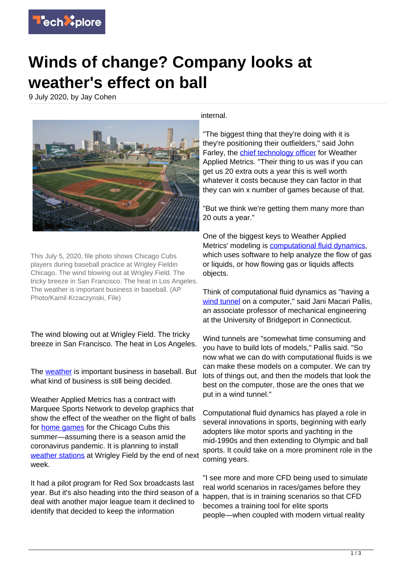

## **Winds of change? Company looks at weather's effect on ball**

9 July 2020, by Jay Cohen



This July 5, 2020, file photo shows Chicago Cubs players during baseball practice at Wrigley Fieldin Chicago. The wind blowing out at Wrigley Field. The tricky breeze in San Francisco. The heat in Los Angeles. The weather is important business in baseball. (AP Photo/Kamil Krzaczynski, File)

The wind blowing out at Wrigley Field. The tricky breeze in San Francisco. The heat in Los Angeles.

The [weather](https://techxplore.com/tags/weather/) is important business in baseball. But what kind of business is still being decided.

Weather Applied Metrics has a contract with Marquee Sports Network to develop graphics that show the effect of the weather on the flight of balls for [home games](https://techxplore.com/tags/home+games/) for the Chicago Cubs this summer—assuming there is a season amid the coronavirus pandemic. It is planning to install [weather stations](https://techxplore.com/tags/weather+stations/) at Wrigley Field by the end of next week.

It had a pilot program for Red Sox broadcasts last year. But it's also heading into the third season of a deal with another major league team it declined to identify that decided to keep the information

## internal.

"The biggest thing that they're doing with it is they're positioning their outfielders," said John Farley, the [chief technology officer](https://techxplore.com/tags/chief+technology+officer/) for Weather Applied Metrics. "Their thing to us was if you can get us 20 extra outs a year this is well worth whatever it costs because they can factor in that they can win x number of games because of that.

"But we think we're getting them many more than 20 outs a year."

One of the biggest keys to Weather Applied Metrics' modeling is **computational fluid dynamics**, which uses software to help analyze the flow of gas or liquids, or how flowing gas or liquids affects objects.

Think of computational fluid dynamics as "having a [wind tunnel](https://techxplore.com/tags/wind+tunnel/) on a computer," said Jani Macari Pallis, an associate professor of mechanical engineering at the University of Bridgeport in Connecticut.

Wind tunnels are "somewhat time consuming and you have to build lots of models," Pallis said. "So now what we can do with computational fluids is we can make these models on a computer. We can try lots of things out, and then the models that look the best on the computer, those are the ones that we put in a wind tunnel."

Computational fluid dynamics has played a role in several innovations in sports, beginning with early adopters like motor sports and yachting in the mid-1990s and then extending to Olympic and ball sports. It could take on a more prominent role in the coming years.

"I see more and more CFD being used to simulate real world scenarios in races/games before they happen, that is in training scenarios so that CFD becomes a training tool for elite sports people—when coupled with modern virtual reality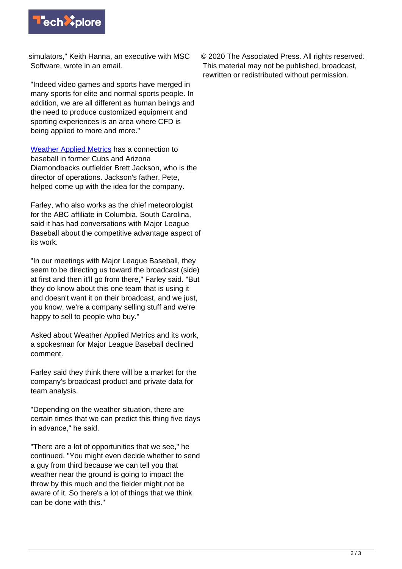

simulators," Keith Hanna, an executive with MSC Software, wrote in an email.

"Indeed video games and sports have merged in many sports for elite and normal sports people. In addition, we are all different as human beings and the need to produce customized equipment and sporting experiences is an area where CFD is being applied to more and more."

[Weather Applied Metrics](https://www.weatherapplied.com/) has a connection to baseball in former Cubs and Arizona Diamondbacks outfielder Brett Jackson, who is the director of operations. Jackson's father, Pete, helped come up with the idea for the company.

Farley, who also works as the chief meteorologist for the ABC affiliate in Columbia, South Carolina, said it has had conversations with Major League Baseball about the competitive advantage aspect of its work.

"In our meetings with Major League Baseball, they seem to be directing us toward the broadcast (side) at first and then it'll go from there," Farley said. "But they do know about this one team that is using it and doesn't want it on their broadcast, and we just, you know, we're a company selling stuff and we're happy to sell to people who buy."

Asked about Weather Applied Metrics and its work, a spokesman for Major League Baseball declined comment.

Farley said they think there will be a market for the company's broadcast product and private data for team analysis.

"Depending on the weather situation, there are certain times that we can predict this thing five days in advance," he said.

"There are a lot of opportunities that we see," he continued. "You might even decide whether to send a guy from third because we can tell you that weather near the ground is going to impact the throw by this much and the fielder might not be aware of it. So there's a lot of things that we think can be done with this."

© 2020 The Associated Press. All rights reserved. This material may not be published, broadcast, rewritten or redistributed without permission.